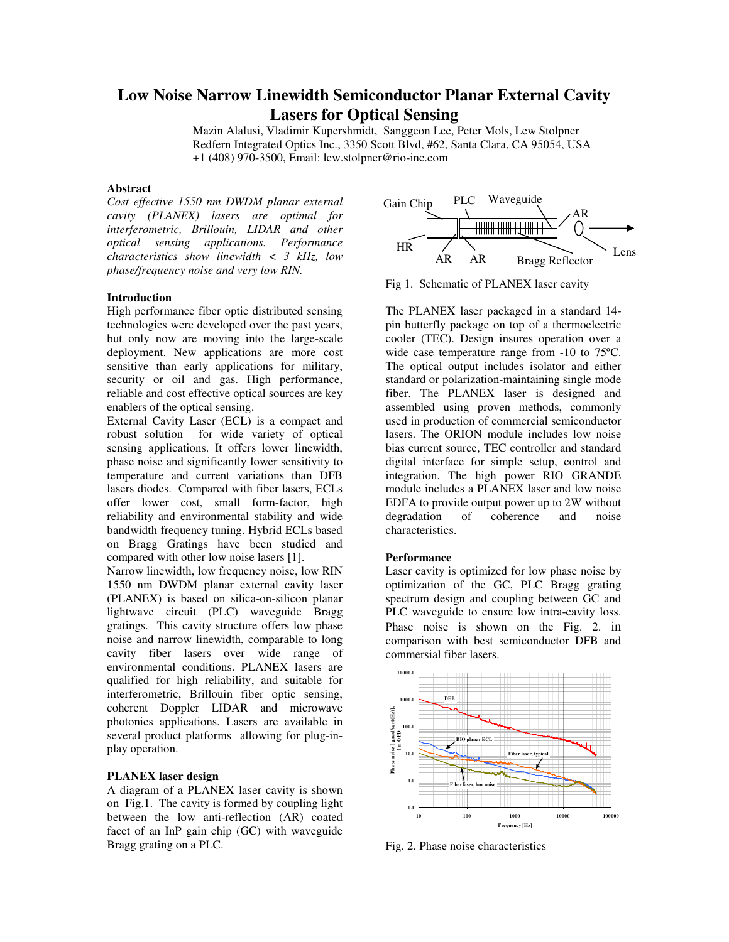# **Low Noise Narrow Linewidth Semiconductor Planar External Cavity Lasers for Optical Sensing**

Mazin Alalusi, Vladimir Kupershmidt, Sanggeon Lee, Peter Mols, Lew Stolpner Redfern Integrated Optics Inc., 3350 Scott Blvd, #62, Santa Clara, CA 95054, USA +1 (408) 970-3500, Email: lew.stolpner@rio-inc.com

## **Abstract**

*Cost effective 1550 nm DWDM planar external cavity (PLANEX) lasers are optimal for interferometric, Brillouin, LIDAR and other optical sensing applications. Performance characteristics show linewidth < 3 kHz, low phase/frequency noise and very low RIN.* 

## **Introduction**

High performance fiber optic distributed sensing technologies were developed over the past years, but only now are moving into the large-scale deployment. New applications are more cost sensitive than early applications for military, security or oil and gas. High performance, reliable and cost effective optical sources are key enablers of the optical sensing.

External Cavity Laser (ECL) is a compact and robust solution for wide variety of optical sensing applications. It offers lower linewidth, phase noise and significantly lower sensitivity to temperature and current variations than DFB lasers diodes. Compared with fiber lasers, ECLs offer lower cost, small form-factor, high reliability and environmental stability and wide bandwidth frequency tuning. Hybrid ECLs based on Bragg Gratings have been studied and compared with other low noise lasers [1].

Narrow linewidth, low frequency noise, low RIN 1550 nm DWDM planar external cavity laser (PLANEX) is based on silica-on-silicon planar lightwave circuit (PLC) waveguide Bragg gratings. This cavity structure offers low phase noise and narrow linewidth, comparable to long cavity fiber lasers over wide range of environmental conditions. PLANEX lasers are qualified for high reliability, and suitable for interferometric, Brillouin fiber optic sensing, coherent Doppler LIDAR and microwave photonics applications. Lasers are available in several product platforms allowing for plug-inplay operation.

### **PLANEX laser design**

A diagram of a PLANEX laser cavity is shown on Fig.1. The cavity is formed by coupling light between the low anti-reflection (AR) coated facet of an InP gain chip (GC) with waveguide Bragg grating on a PLC.



Fig 1. Schematic of PLANEX laser cavity

The PLANEX laser packaged in a standard 14 pin butterfly package on top of a thermoelectric cooler (TEC). Design insures operation over a wide case temperature range from -10 to 75ºC. The optical output includes isolator and either standard or polarization-maintaining single mode fiber. The PLANEX laser is designed and assembled using proven methods, commonly used in production of commercial semiconductor lasers. The ORION module includes low noise bias current source, TEC controller and standard digital interface for simple setup, control and integration. The high power RIO GRANDE module includes a PLANEX laser and low noise EDFA to provide output power up to 2W without<br>degradation of coherence and noise degradation characteristics.

#### **Performance**

Laser cavity is optimized for low phase noise by optimization of the GC, PLC Bragg grating spectrum design and coupling between GC and PLC waveguide to ensure low intra-cavity loss. Phase noise is shown on the Fig. 2. in comparison with best semiconductor DFB and commersial fiber lasers.



Fig. 2. Phase noise characteristics